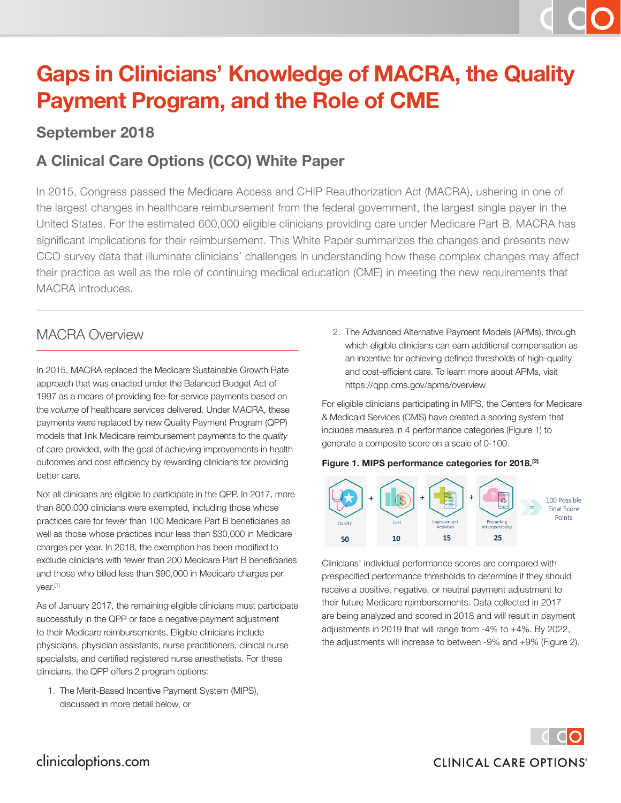# **Gaps in Clinicians' Knowledge of MACRA, the Quality Payment Program, and the Role of CME**

### **September 2018**

### **A Clinical Care Options (CCO) White Paper**

In 2015, Congress passed the Medicare Access and CHIP Reauthorization Act (MACRA), ushering in one of the largest changes in healthcare reimbursement from the federal government, the largest single payer in the United States. For the estimated 600,000 eligible clinicians providing care under Medicare Part B, MACRA has significant implications for their reimbursement. This White Paper summarizes the changes and presents new CCO survey data that illuminate clinicians' challenges in understanding how these complex changes may affect their practice as well as the role of continuing medical education (CME) in meeting the new requirements that MACRA introduces.

### MACRA Overview

In 2015, MACRA replaced the Medicare Sustainable Growth Rate approach that was enacted under the Balanced Budget Act of 1997 as a means of providing fee-for-service payments based on the *volume* of healthcare services delivered. Under MACRA, these payments were replaced by new Quality Payment Program (QPP) models that link Medicare reimbursement payments to the *quality* of care provided, with the goal of achieving improvements in health outcomes and cost efficiency by rewarding clinicians for providing better care.

Not all clinicians are eligible to participate in the QPP. In 2017, more than 800,000 clinicians were exempted, including those whose practices care for fewer than 100 Medicare Part B beneficiaries as well as those whose practices incur less than \$30,000 in Medicare charges per year. In 2018, the exemption has been modified to exclude clinicians with fewer than 200 Medicare Part B beneficiaries and those who billed less than \$90,000 in Medicare charges per year.[1]

As of January 2017, the remaining eligible clinicians must participate successfully in the QPP or face a negative payment adjustment to their Medicare reimbursements. Eligible clinicians include physicians, physician assistants, nurse practitioners, clinical nurse specialists, and certified registered nurse anesthetists. For these clinicians, the QPP offers 2 program options:

1. The Merit-Based Incentive Payment System (MIPS), discussed in more detail below, or

2. The Advanced Alternative Payment Models (APMs), through which eligible clinicians can earn additional compensation as an incentive for achieving defined thresholds of high-quality and cost-efficient care. To learn more about APMs, visit https://qpp.cms.gov/apms/overview

For eligible clinicians participating in MIPS, the Centers for Medicare & Medicaid Services (CMS) have created a scoring system that includes measures in 4 performance categories (Figure 1) to generate a composite score on a scale of 0-100.

#### **Figure 1. MIPS performance categories for 2018.[2]**



Clinicians' individual performance scores are compared with prespecified performance thresholds to determine if they should receive a positive, negative, or neutral payment adjustment to their future Medicare reimbursements. Data collected in 2017 are being analyzed and scored in 2018 and will result in payment adjustments in 2019 that will range from -4% to +4%. By 2022, the adjustments will increase to between -9% and +9% (Figure 2).

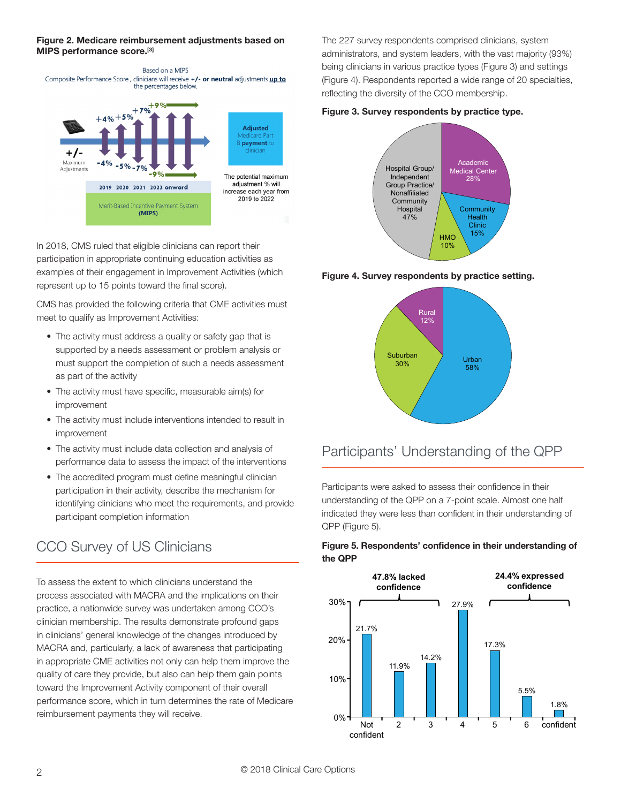#### **Figure 2. Medicare reimbursement adjustments based on MIPS performance score.[3]**



In 2018, CMS ruled that eligible clinicians can report their participation in appropriate continuing education activities as examples of their engagement in Improvement Activities (which represent up to 15 points toward the final score).

CMS has provided the following criteria that CME activities must meet to qualify as Improvement Activities:

- The activity must address a quality or safety gap that is supported by a needs assessment or problem analysis or must support the completion of such a needs assessment as part of the activity
- The activity must have specific, measurable aim(s) for improvement
- The activity must include interventions intended to result in improvement
- The activity must include data collection and analysis of performance data to assess the impact of the interventions
- The accredited program must define meaningful clinician participation in their activity, describe the mechanism for identifying clinicians who meet the requirements, and provide participant completion information

### CCO Survey of US Clinicians

To assess the extent to which clinicians understand the process associated with MACRA and the implications on their practice, a nationwide survey was undertaken among CCO's clinician membership. The results demonstrate profound gaps in clinicians' general knowledge of the changes introduced by MACRA and, particularly, a lack of awareness that participating in appropriate CME activities not only can help them improve the quality of care they provide, but also can help them gain points toward the Improvement Activity component of their overall performance score, which in turn determines the rate of Medicare reimbursement payments they will receive.

The 227 survey respondents comprised clinicians, system administrators, and system leaders, with the vast majority (93%) being clinicians in various practice types (Figure 3) and settings (Figure 4). Respondents reported a wide range of 20 specialties, reflecting the diversity of the CCO membership.

#### **Figure 3. Survey respondents by practice type.**



**Figure 4. Survey respondents by practice setting.**



### Participants' Understanding of the QPP

Participants were asked to assess their confidence in their understanding of the QPP on a 7-point scale. Almost one half indicated they were less than confident in their understanding of QPP (Figure 5).

#### **Figure 5. Respondents' confidence in their understanding of the QPP**

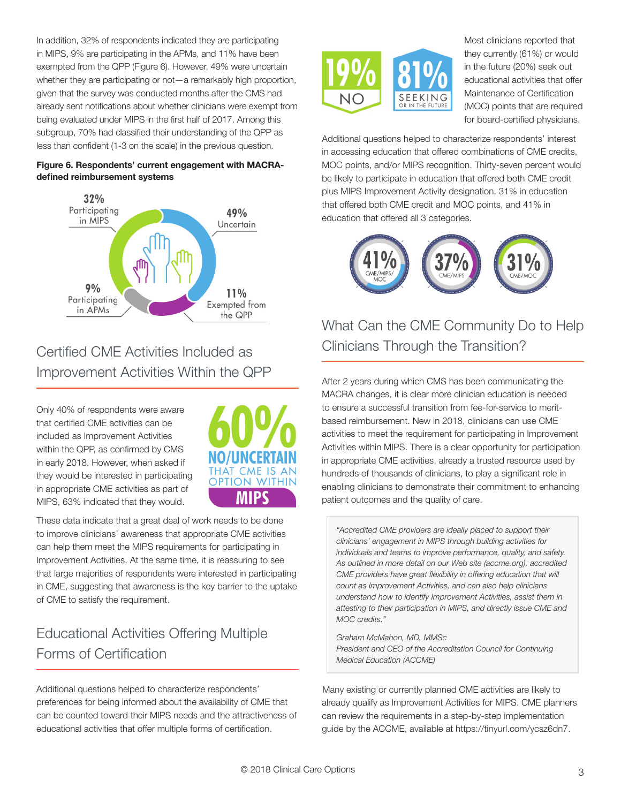In addition, 32% of respondents indicated they are participating in MIPS, 9% are participating in the APMs, and 11% have been exempted from the QPP (Figure 6). However, 49% were uncertain whether they are participating or not—a remarkably high proportion, given that the survey was conducted months after the CMS had already sent notifications about whether clinicians were exempt from being evaluated under MIPS in the first half of 2017. Among this subgroup, 70% had classified their understanding of the QPP as less than confident (1-3 on the scale) in the previous question.

#### **Figure 6. Respondents' current engagement with MACRAdefined reimbursement systems**



### Certified CME Activities Included as Improvement Activities Within the QPP

Only 40% of respondents were aware that certified CME activities can be included as Improvement Activities within the QPP, as confirmed by CMS in early 2018. However, when asked if they would be interested in participating in appropriate CME activities as part of MIPS, 63% indicated that they would.



These data indicate that a great deal of work needs to be done to improve clinicians' awareness that appropriate CME activities can help them meet the MIPS requirements for participating in Improvement Activities. At the same time, it is reassuring to see that large majorities of respondents were interested in participating in CME, suggesting that awareness is the key barrier to the uptake of CME to satisfy the requirement.

# Educational Activities Offering Multiple Forms of Certification

Additional questions helped to characterize respondents' preferences for being informed about the availability of CME that can be counted toward their MIPS needs and the attractiveness of educational activities that offer multiple forms of certification.



Most clinicians reported that they currently (61%) or would in the future (20%) seek out educational activities that offer Maintenance of Certification (MOC) points that are required for board-certified physicians.

Additional questions helped to characterize respondents' interest in accessing education that offered combinations of CME credits, MOC points, and/or MIPS recognition. Thirty-seven percent would be likely to participate in education that offered both CME credit plus MIPS Improvement Activity designation, 31% in education that offered both CME credit and MOC points, and 41% in education that offered all 3 categories.



# What Can the CME Community Do to Help Clinicians Through the Transition?

After 2 years during which CMS has been communicating the MACRA changes, it is clear more clinician education is needed to ensure a successful transition from fee-for-service to meritbased reimbursement. New in 2018, clinicians can use CME activities to meet the requirement for participating in Improvement Activities within MIPS. There is a clear opportunity for participation in appropriate CME activities, already a trusted resource used by hundreds of thousands of clinicians, to play a significant role in enabling clinicians to demonstrate their commitment to enhancing patient outcomes and the quality of care.

*"Accredited CME providers are ideally placed to support their clinicians' engagement in MIPS through building activities for individuals and teams to improve performance, quality, and safety. As outlined in more detail on our Web site (accme.org), accredited CME providers have great flexibility in offering education that will count as Improvement Activities, and can also help clinicians understand how to identify Improvement Activities, assist them in attesting to their participation in MIPS, and directly issue CME and MOC credits."* 

*Graham McMahon, MD, MMSc President and CEO of the Accreditation Council for Continuing Medical Education (ACCME)*

Many existing or currently planned CME activities are likely to already qualify as Improvement Activities for MIPS. CME planners can review the requirements in a step-by-step implementation guide by the ACCME, available at https://tinyurl.com/ycsz6dn7.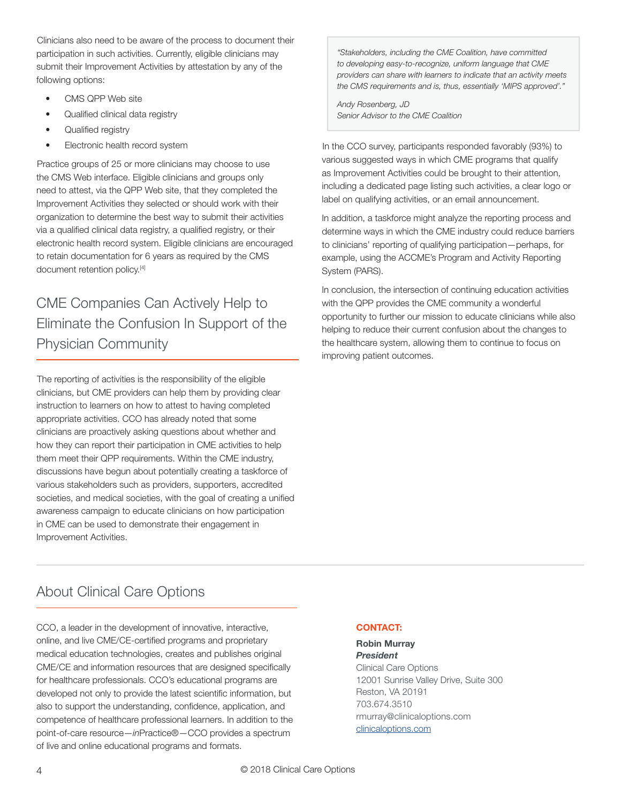Clinicians also need to be aware of the process to document their participation in such activities. Currently, eligible clinicians may submit their Improvement Activities by attestation by any of the following options:

- CMS QPP Web site
- Qualified clinical data registry
- Qualified registry
- Electronic health record system

Practice groups of 25 or more clinicians may choose to use the CMS Web interface. Eligible clinicians and groups only need to attest, via the QPP Web site, that they completed the Improvement Activities they selected or should work with their organization to determine the best way to submit their activities via a qualified clinical data registry, a qualified registry, or their electronic health record system. Eligible clinicians are encouraged to retain documentation for 6 years as required by the CMS document retention policy.<sup>[4]</sup>

# CME Companies Can Actively Help to Eliminate the Confusion In Support of the Physician Community

The reporting of activities is the responsibility of the eligible clinicians, but CME providers can help them by providing clear instruction to learners on how to attest to having completed appropriate activities. CCO has already noted that some clinicians are proactively asking questions about whether and how they can report their participation in CME activities to help them meet their QPP requirements. Within the CME industry, discussions have begun about potentially creating a taskforce of various stakeholders such as providers, supporters, accredited societies, and medical societies, with the goal of creating a unified awareness campaign to educate clinicians on how participation in CME can be used to demonstrate their engagement in Improvement Activities.

*"Stakeholders, including the CME Coalition, have committed to developing easy-to-recognize, uniform language that CME providers can share with learners to indicate that an activity meets the CMS requirements and is, thus, essentially 'MIPS approved'."* 

*Andy Rosenberg, JD Senior Advisor to the CME Coalition*

In the CCO survey, participants responded favorably (93%) to various suggested ways in which CME programs that qualify as Improvement Activities could be brought to their attention, including a dedicated page listing such activities, a clear logo or label on qualifying activities, or an email announcement.

In addition, a taskforce might analyze the reporting process and determine ways in which the CME industry could reduce barriers to clinicians' reporting of qualifying participation—perhaps, for example, using the ACCME's Program and Activity Reporting System (PARS).

In conclusion, the intersection of continuing education activities with the QPP provides the CME community a wonderful opportunity to further our mission to educate clinicians while also helping to reduce their current confusion about the changes to the healthcare system, allowing them to continue to focus on improving patient outcomes.

### About Clinical Care Options

CCO, a leader in the development of innovative, interactive, online, and live CME/CE-certified programs and proprietary medical education technologies, creates and publishes original CME/CE and information resources that are designed specifically for healthcare professionals. CCO's educational programs are developed not only to provide the latest scientific information, but also to support the understanding, confidence, application, and competence of healthcare professional learners. In addition to the point-of-care resource—*in*Practice®—CCO provides a spectrum of live and online educational programs and formats.

#### **CONTACT:**

#### **Robin Murray** *President*

Clinical Care Options 12001 Sunrise Valley Drive, Suite 300 Reston, VA 20191 703.674.3510 rmurray@clinicaloptions.com clinicaloptions.com